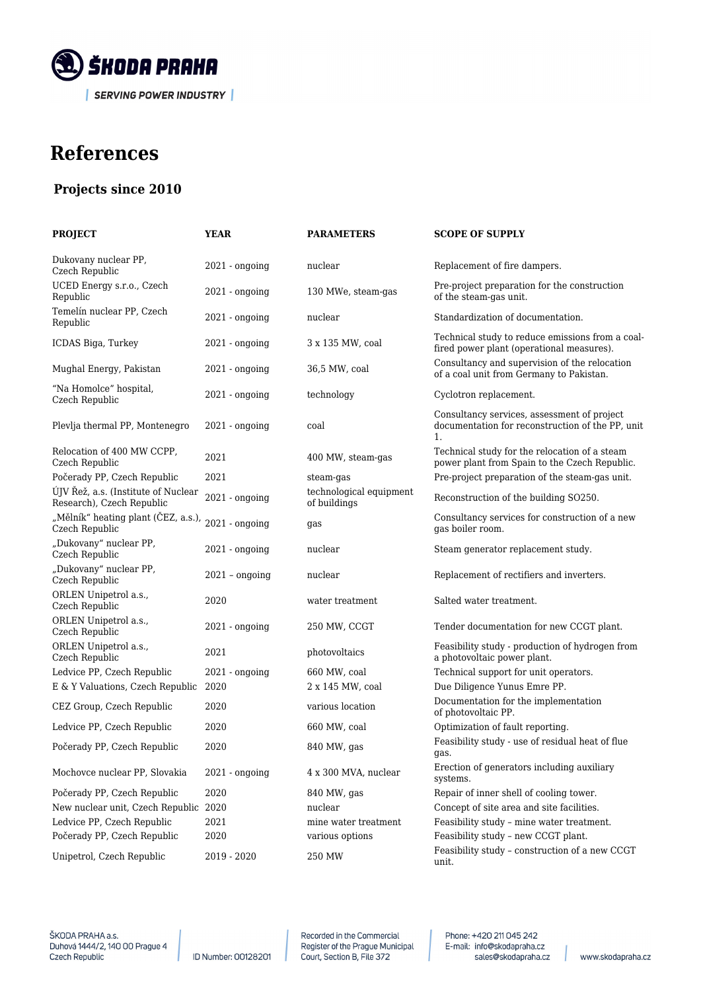

## **References**

## **Projects since 2010**

| <b>PROJECT</b>                                                   | <b>YEAR</b>      | <b>PARAMETERS</b>                       | <b>SCOPE OF SUPPLY</b>                                                                                            |
|------------------------------------------------------------------|------------------|-----------------------------------------|-------------------------------------------------------------------------------------------------------------------|
| Dukovany nuclear PP,<br>Czech Republic                           | $2021 - onqoinq$ | nuclear                                 | Replacement of fire dampers.                                                                                      |
| UCED Energy s.r.o., Czech<br>Republic                            | $2021 - ongoing$ | 130 MWe, steam-gas                      | Pre-project preparation for the construction<br>of the steam-gas unit.                                            |
| Temelín nuclear PP, Czech<br>Republic                            | $2021 - ongoing$ | nuclear                                 | Standardization of documentation.                                                                                 |
| ICDAS Biga, Turkey                                               | $2021 - ongoing$ | 3 x 135 MW, coal                        | Technical study to reduce emissions from a coal-<br>fired power plant (operational measures).                     |
| Mughal Energy, Pakistan                                          | $2021 - onqoinq$ | 36,5 MW, coal                           | Consultancy and supervision of the relocation<br>of a coal unit from Germany to Pakistan.                         |
| "Na Homolce" hospital,<br>Czech Republic                         | $2021 - ongoing$ | technology                              | Cyclotron replacement.                                                                                            |
| Plevlja thermal PP, Montenegro                                   | $2021 - ongoing$ | coal                                    | Consultancy services, assessment of project<br>documentation for reconstruction of the PP, unit<br>$\mathbf{1}$ . |
| Relocation of 400 MW CCPP,<br>Czech Republic                     | 2021             | 400 MW, steam-gas                       | Technical study for the relocation of a steam<br>power plant from Spain to the Czech Republic.                    |
| Počerady PP, Czech Republic                                      | 2021             | steam-gas                               | Pre-project preparation of the steam-gas unit.                                                                    |
| ÚJV Řež, a.s. (Institute of Nuclear<br>Research), Czech Republic | $2021 - ongoing$ | technological equipment<br>of buildings | Reconstruction of the building SO250.                                                                             |
| "Mělník" heating plant (ČEZ, a.s.),<br>Czech Republic            | $2021 - ongoing$ | gas                                     | Consultancy services for construction of a new<br>gas boiler room.                                                |
| "Dukovany" nuclear PP,<br>Czech Republic                         | $2021 - ongoing$ | nuclear                                 | Steam generator replacement study.                                                                                |
| "Dukovany" nuclear PP,<br>Czech Republic                         | $2021 - ongoing$ | nuclear                                 | Replacement of rectifiers and inverters.                                                                          |
| ORLEN Unipetrol a.s.,<br>Czech Republic                          | 2020             | water treatment                         | Salted water treatment.                                                                                           |
| ORLEN Unipetrol a.s.,<br>Czech Republic                          | $2021 - ongoing$ | 250 MW, CCGT                            | Tender documentation for new CCGT plant.                                                                          |
| ORLEN Unipetrol a.s.,<br>Czech Republic                          | 2021             | photovoltaics                           | Feasibility study - production of hydrogen from<br>a photovoltaic power plant.                                    |
| Ledvice PP, Czech Republic                                       | $2021 - ongoing$ | 660 MW, coal                            | Technical support for unit operators.                                                                             |
| E & Y Valuations, Czech Republic                                 | 2020             | 2 x 145 MW, coal                        | Due Diligence Yunus Emre PP.                                                                                      |
| CEZ Group, Czech Republic                                        | 2020             | various location                        | Documentation for the implementation<br>of photovoltaic PP.                                                       |
| Ledvice PP, Czech Republic                                       | 2020             | 660 MW, coal                            | Optimization of fault reporting.                                                                                  |
| Počerady PP, Czech Republic                                      | 2020             | 840 MW, gas                             | Feasibility study - use of residual heat of flue<br>gas.                                                          |
| Mochovce nuclear PP, Slovakia                                    | $2021 - ongoing$ | 4 x 300 MVA, nuclear                    | Erection of generators including auxiliary<br>systems.                                                            |
| Počerady PP, Czech Republic                                      | 2020             | 840 MW, gas                             | Repair of inner shell of cooling tower.                                                                           |
| New nuclear unit, Czech Republic 2020                            |                  | nuclear                                 | Concept of site area and site facilities.                                                                         |
| Ledvice PP, Czech Republic                                       | 2021             | mine water treatment                    | Feasibility study - mine water treatment.                                                                         |
| Počerady PP, Czech Republic                                      | 2020             | various options                         | Feasibility study - new CCGT plant.                                                                               |
| Unipetrol, Czech Republic                                        | 2019 - 2020      | 250 MW                                  | Feasibility study - construction of a new CCGT<br>unit.                                                           |
|                                                                  |                  |                                         |                                                                                                                   |

ID Number: 00128201

Recorded in the Commercial Register of the Prague Municipal<br>Court, Section B, File 372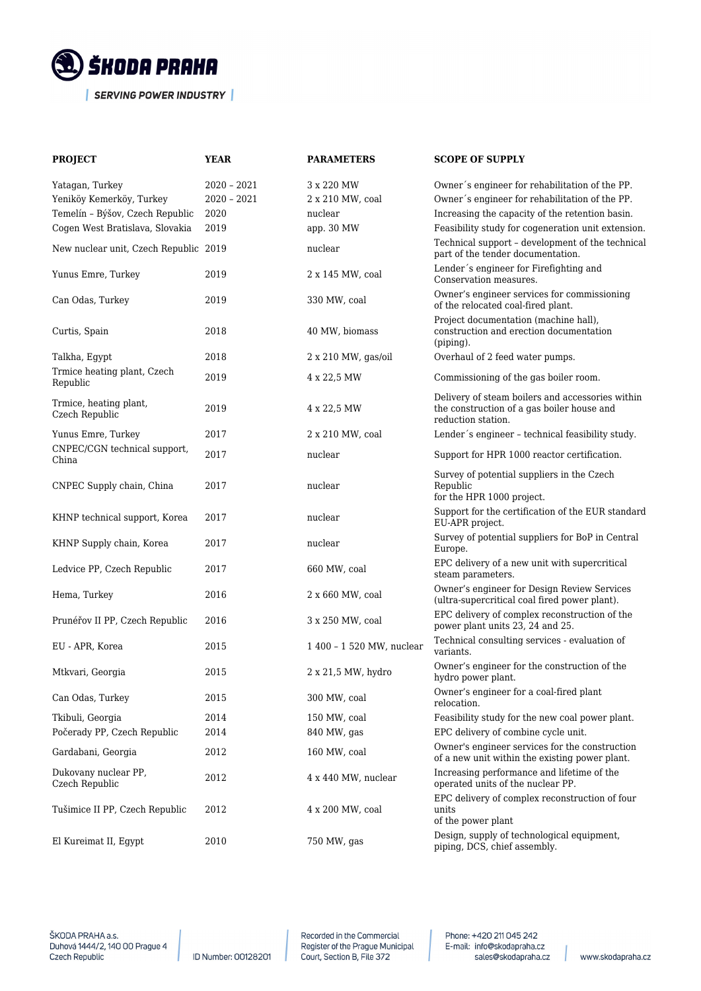

| <b>PROJECT</b>                           | <b>YEAR</b>   | <b>PARAMETERS</b>         | <b>SCOPE OF SUPPLY</b>                                                                                               |
|------------------------------------------|---------------|---------------------------|----------------------------------------------------------------------------------------------------------------------|
| Yatagan, Turkey                          | $2020 - 2021$ | 3 x 220 MW                | Owner's engineer for rehabilitation of the PP.                                                                       |
| Yeniköy Kemerköy, Turkey                 | $2020 - 2021$ | 2 x 210 MW, coal          | Owner's engineer for rehabilitation of the PP.                                                                       |
| Temelín - Býšov, Czech Republic          | 2020          | nuclear                   | Increasing the capacity of the retention basin.                                                                      |
| Cogen West Bratislava, Slovakia          | 2019          | app. 30 MW                | Feasibility study for cogeneration unit extension.                                                                   |
| New nuclear unit, Czech Republic 2019    |               | nuclear                   | Technical support - development of the technical<br>part of the tender documentation.                                |
| Yunus Emre, Turkey                       | 2019          | 2 x 145 MW, coal          | Lender's engineer for Firefighting and<br>Conservation measures.                                                     |
| Can Odas, Turkey                         | 2019          | 330 MW, coal              | Owner's engineer services for commissioning<br>of the relocated coal-fired plant.                                    |
| Curtis, Spain                            | 2018          | 40 MW, biomass            | Project documentation (machine hall),<br>construction and erection documentation<br>$(piping)$ .                     |
| Talkha, Egypt                            | 2018          | 2 x 210 MW, gas/oil       | Overhaul of 2 feed water pumps.                                                                                      |
| Trmice heating plant, Czech<br>Republic  | 2019          | 4 x 22,5 MW               | Commissioning of the gas boiler room.                                                                                |
| Trmice, heating plant,<br>Czech Republic | 2019          | 4 x 22,5 MW               | Delivery of steam boilers and accessories within<br>the construction of a gas boiler house and<br>reduction station. |
| Yunus Emre, Turkey                       | 2017          | 2 x 210 MW, coal          | Lender's engineer - technical feasibility study.                                                                     |
| CNPEC/CGN technical support,<br>China    | 2017          | nuclear                   | Support for HPR 1000 reactor certification.                                                                          |
| CNPEC Supply chain, China                | 2017          | nuclear                   | Survey of potential suppliers in the Czech<br>Republic<br>for the HPR 1000 project.                                  |
| KHNP technical support, Korea            | 2017          | nuclear                   | Support for the certification of the EUR standard<br>EU-APR project.                                                 |
| KHNP Supply chain, Korea                 | 2017          | nuclear                   | Survey of potential suppliers for BoP in Central<br>Europe.                                                          |
| Ledvice PP, Czech Republic               | 2017          | 660 MW, coal              | EPC delivery of a new unit with supercritical<br>steam parameters.                                                   |
| Hema, Turkey                             | 2016          | 2 x 660 MW, coal          | Owner's engineer for Design Review Services<br>(ultra-supercritical coal fired power plant).                         |
| Prunéřov II PP, Czech Republic           | 2016          | 3 x 250 MW, coal          | EPC delivery of complex reconstruction of the<br>power plant units 23, 24 and 25.                                    |
| EU - APR, Korea                          | 2015          | 1 400 - 1 520 MW, nuclear | Technical consulting services - evaluation of<br>variants.                                                           |
| Mtkvari, Georgia                         | 2015          | 2 x 21,5 MW, hydro        | Owner's engineer for the construction of the<br>hydro power plant.                                                   |
| Can Odas, Turkey                         | 2015          | 300 MW, coal              | Owner's engineer for a coal-fired plant<br>relocation.                                                               |
| Tkibuli, Georgia                         | 2014          | 150 MW, coal              | Feasibility study for the new coal power plant.                                                                      |
| Počerady PP, Czech Republic              | 2014          | 840 MW, gas               | EPC delivery of combine cycle unit.                                                                                  |
| Gardabani, Georgia                       | 2012          | 160 MW, coal              | Owner's engineer services for the construction<br>of a new unit within the existing power plant.                     |
| Dukovany nuclear PP,<br>Czech Republic   | 2012          | 4 x 440 MW, nuclear       | Increasing performance and lifetime of the<br>operated units of the nuclear PP.                                      |
| Tušimice II PP, Czech Republic           | 2012          | 4 x 200 MW, coal          | EPC delivery of complex reconstruction of four<br>units<br>of the power plant                                        |
| El Kureimat II, Egypt                    | 2010          | 750 MW, gas               | Design, supply of technological equipment,<br>piping, DCS, chief assembly.                                           |

ID Number: 00128201

Recorded in the Commercial Register of the Prague Municipal<br>Court, Section B, File 372 Phone: +420 211 045 242 E-mail: info@skodapraha.cz sales@skodapraha.cz